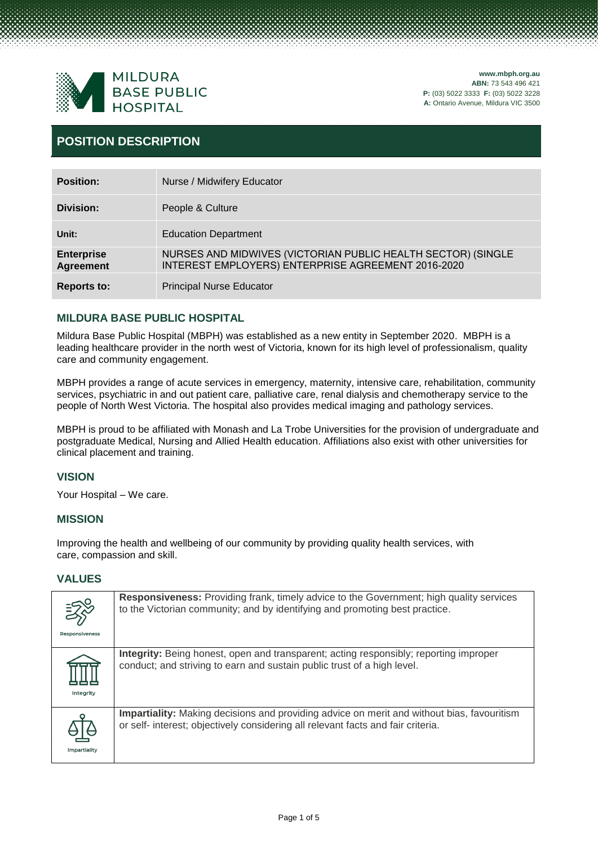

# **POSITION DESCRIPTION**

| <b>Position:</b>                      | Nurse / Midwifery Educator                                                                                         |
|---------------------------------------|--------------------------------------------------------------------------------------------------------------------|
| Division:                             | People & Culture                                                                                                   |
| Unit:                                 | <b>Education Department</b>                                                                                        |
| <b>Enterprise</b><br><b>Agreement</b> | NURSES AND MIDWIVES (VICTORIAN PUBLIC HEALTH SECTOR) (SINGLE<br>INTEREST EMPLOYERS) ENTERPRISE AGREEMENT 2016-2020 |
| <b>Reports to:</b>                    | <b>Principal Nurse Educator</b>                                                                                    |

# **MILDURA BASE PUBLIC HOSPITAL**

Mildura Base Public Hospital (MBPH) was established as a new entity in September 2020. MBPH is a leading healthcare provider in the north west of Victoria, known for its high level of professionalism, quality care and community engagement.

MBPH provides a range of acute services in emergency, maternity, intensive care, rehabilitation, community services, psychiatric in and out patient care, palliative care, renal dialysis and chemotherapy service to the people of North West Victoria. The hospital also provides medical imaging and pathology services.

MBPH is proud to be affiliated with Monash and La Trobe Universities for the provision of undergraduate and postgraduate Medical, Nursing and Allied Health education. Affiliations also exist with other universities for clinical placement and training.

# **VISION**

Your Hospital – We care.

### **MISSION**

Improving the health and wellbeing of our community by providing quality health services, with care, compassion and skill.

### **VALUES**

| <b>Responsiveness</b> | <b>Responsiveness:</b> Providing frank, timely advice to the Government; high quality services<br>to the Victorian community; and by identifying and promoting best practice.         |
|-----------------------|---------------------------------------------------------------------------------------------------------------------------------------------------------------------------------------|
| Integrity             | <b>Integrity:</b> Being honest, open and transparent; acting responsibly; reporting improper<br>conduct; and striving to earn and sustain public trust of a high level.               |
| Impartiality          | <b>Impartiality:</b> Making decisions and providing advice on merit and without bias, favouritism<br>or self- interest; objectively considering all relevant facts and fair criteria. |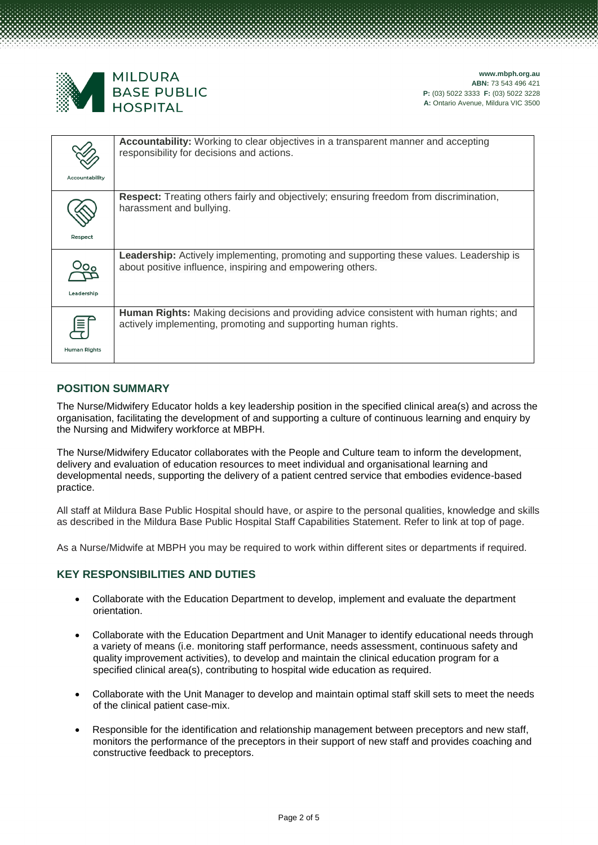

| Accountability | <b>Accountability:</b> Working to clear objectives in a transparent manner and accepting<br>responsibility for decisions and actions.                        |
|----------------|--------------------------------------------------------------------------------------------------------------------------------------------------------------|
| Respect        | <b>Respect:</b> Treating others fairly and objectively; ensuring freedom from discrimination,<br>harassment and bullying.                                    |
| Leadership     | <b>Leadership:</b> Actively implementing, promoting and supporting these values. Leadership is<br>about positive influence, inspiring and empowering others. |
| Human Rights   | Human Rights: Making decisions and providing advice consistent with human rights; and<br>actively implementing, promoting and supporting human rights.       |

## **POSITION SUMMARY**

The Nurse/Midwifery Educator holds a key leadership position in the specified clinical area(s) and across the organisation, facilitating the development of and supporting a culture of continuous learning and enquiry by the Nursing and Midwifery workforce at MBPH.

The Nurse/Midwifery Educator collaborates with the People and Culture team to inform the development, delivery and evaluation of education resources to meet individual and organisational learning and developmental needs, supporting the delivery of a patient centred service that embodies evidence-based practice.

All staff at Mildura Base Public Hospital should have, or aspire to the personal qualities, knowledge and skills as described in the Mildura Base Public Hospital Staff Capabilities Statement. Refer to link at top of page.

As a Nurse/Midwife at MBPH you may be required to work within different sites or departments if required.

# **KEY RESPONSIBILITIES AND DUTIES**

- Collaborate with the Education Department to develop, implement and evaluate the department orientation.
- Collaborate with the Education Department and Unit Manager to identify educational needs through a variety of means (i.e. monitoring staff performance, needs assessment, continuous safety and quality improvement activities), to develop and maintain the clinical education program for a specified clinical area(s), contributing to hospital wide education as required.
- Collaborate with the Unit Manager to develop and maintain optimal staff skill sets to meet the needs of the clinical patient case-mix.
- Responsible for the identification and relationship management between preceptors and new staff, monitors the performance of the preceptors in their support of new staff and provides coaching and constructive feedback to preceptors.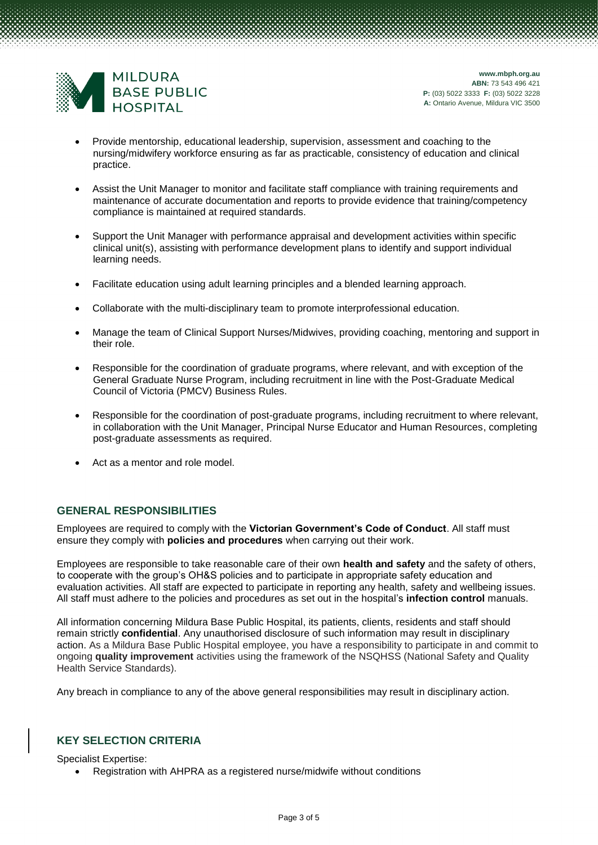

- Provide mentorship, educational leadership, supervision, assessment and coaching to the nursing/midwifery workforce ensuring as far as practicable, consistency of education and clinical practice.
- Assist the Unit Manager to monitor and facilitate staff compliance with training requirements and maintenance of accurate documentation and reports to provide evidence that training/competency compliance is maintained at required standards.
- Support the Unit Manager with performance appraisal and development activities within specific clinical unit(s), assisting with performance development plans to identify and support individual learning needs.
- Facilitate education using adult learning principles and a blended learning approach.
- Collaborate with the multi-disciplinary team to promote interprofessional education.
- Manage the team of Clinical Support Nurses/Midwives, providing coaching, mentoring and support in their role.
- Responsible for the coordination of graduate programs, where relevant, and with exception of the General Graduate Nurse Program, including recruitment in line with the Post-Graduate Medical Council of Victoria (PMCV) Business Rules.
- Responsible for the coordination of post-graduate programs, including recruitment to where relevant, in collaboration with the Unit Manager, Principal Nurse Educator and Human Resources, completing post-graduate assessments as required.
- Act as a mentor and role model.

#### **GENERAL RESPONSIBILITIES**

Employees are required to comply with the **Victorian Government's Code of Conduct**. All staff must ensure they comply with **policies and procedures** when carrying out their work.

Employees are responsible to take reasonable care of their own **health and safety** and the safety of others, to cooperate with the group's OH&S policies and to participate in appropriate safety education and evaluation activities. All staff are expected to participate in reporting any health, safety and wellbeing issues. All staff must adhere to the policies and procedures as set out in the hospital's **infection control** manuals.

All information concerning Mildura Base Public Hospital, its patients, clients, residents and staff should remain strictly **confidential**. Any unauthorised disclosure of such information may result in disciplinary action. As a Mildura Base Public Hospital employee, you have a responsibility to participate in and commit to ongoing **quality improvement** activities using the framework of the NSQHSS (National Safety and Quality Health Service Standards).

Any breach in compliance to any of the above general responsibilities may result in disciplinary action.

#### **KEY SELECTION CRITERIA**

Specialist Expertise:

• Registration with AHPRA as a registered nurse/midwife without conditions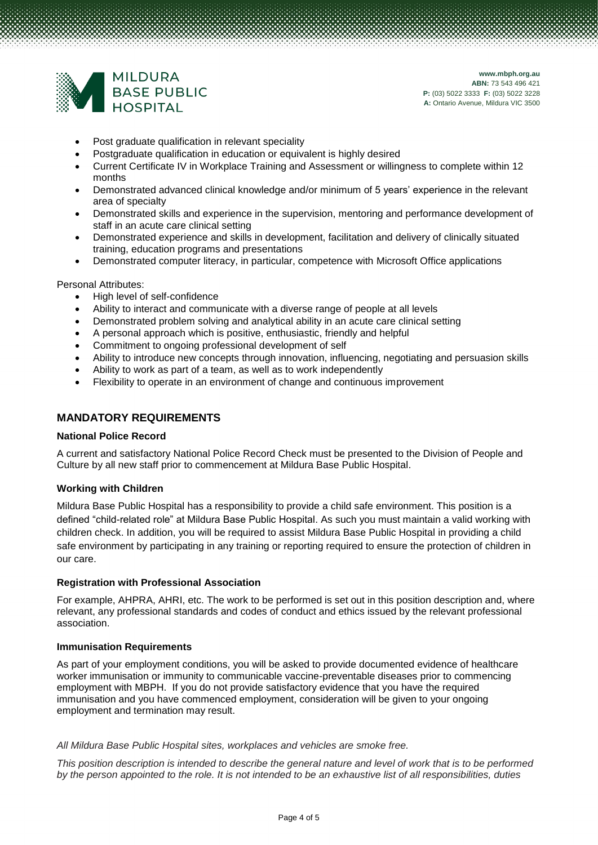

- Post graduate qualification in relevant speciality
- Postgraduate qualification in education or equivalent is highly desired
- Current Certificate IV in Workplace Training and Assessment or willingness to complete within 12 months
- Demonstrated advanced clinical knowledge and/or minimum of 5 years' experience in the relevant area of specialty
- Demonstrated skills and experience in the supervision, mentoring and performance development of staff in an acute care clinical setting
- Demonstrated experience and skills in development, facilitation and delivery of clinically situated training, education programs and presentations
- Demonstrated computer literacy, in particular, competence with Microsoft Office applications

Personal Attributes:

- High level of self-confidence
- Ability to interact and communicate with a diverse range of people at all levels
- Demonstrated problem solving and analytical ability in an acute care clinical setting
- A personal approach which is positive, enthusiastic, friendly and helpful
- Commitment to ongoing professional development of self
- Ability to introduce new concepts through innovation, influencing, negotiating and persuasion skills
- Ability to work as part of a team, as well as to work independently
- Flexibility to operate in an environment of change and continuous improvement

### **MANDATORY REQUIREMENTS**

#### **National Police Record**

A current and satisfactory National Police Record Check must be presented to the Division of People and Culture by all new staff prior to commencement at Mildura Base Public Hospital.

#### **Working with Children**

Mildura Base Public Hospital has a responsibility to provide a child safe environment. This position is a defined "child-related role" at Mildura Base Public Hospital. As such you must maintain a valid working with children check. In addition, you will be required to assist Mildura Base Public Hospital in providing a child safe environment by participating in any training or reporting required to ensure the protection of children in our care.

#### **Registration with Professional Association**

For example, AHPRA, AHRI, etc. The work to be performed is set out in this position description and, where relevant, any professional standards and codes of conduct and ethics issued by the relevant professional association.

#### **Immunisation Requirements**

As part of your employment conditions, you will be asked to provide documented evidence of healthcare worker immunisation or immunity to communicable vaccine-preventable diseases prior to commencing employment with MBPH. If you do not provide satisfactory evidence that you have the required immunisation and you have commenced employment, consideration will be given to your ongoing employment and termination may result.

#### *All Mildura Base Public Hospital sites, workplaces and vehicles are smoke free.*

*This position description is intended to describe the general nature and level of work that is to be performed by the person appointed to the role. It is not intended to be an exhaustive list of all responsibilities, duties*